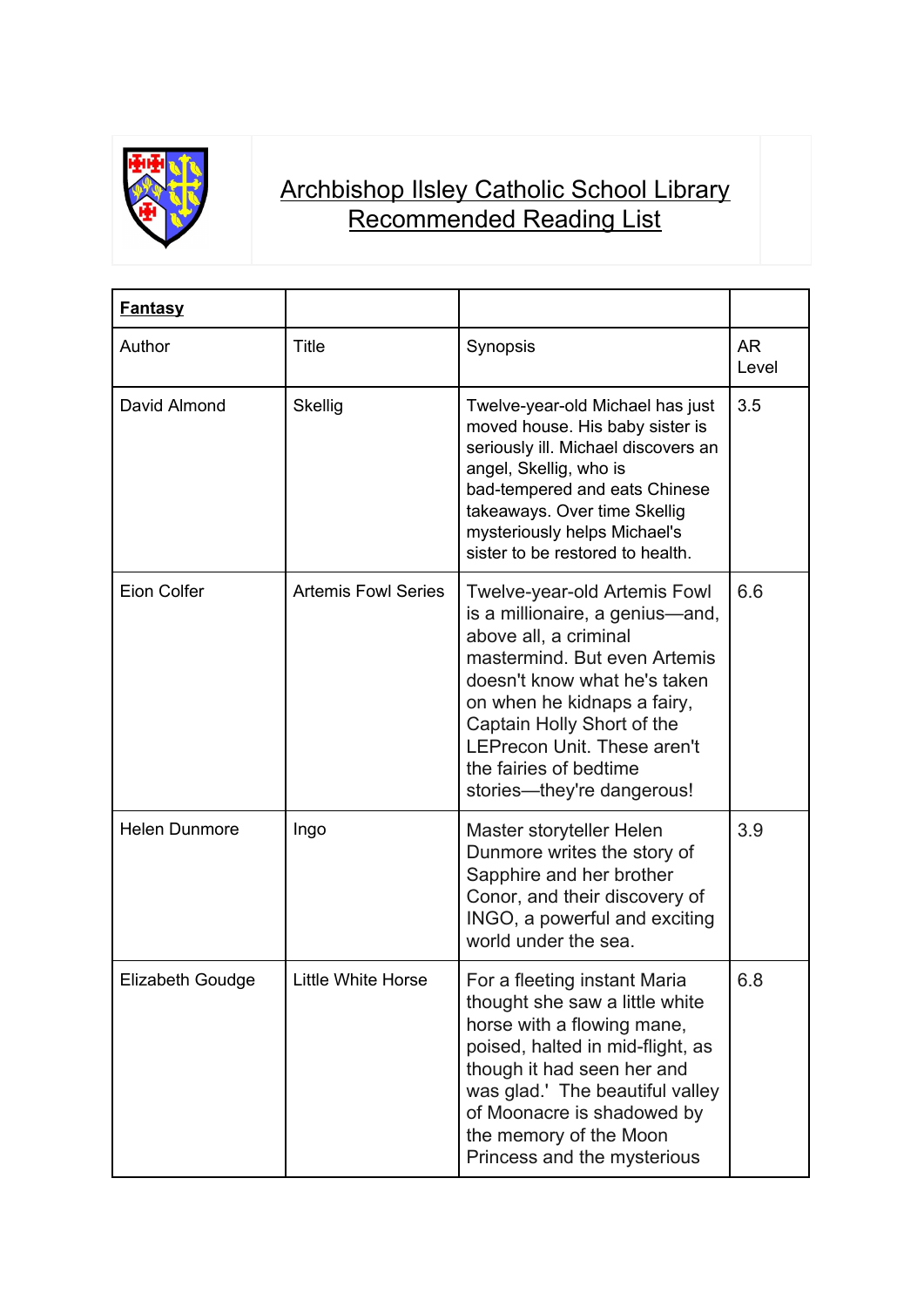

## Archbishop Ilsley Catholic School Library Recommended Reading List

| <b>Fantasy</b>       |                            |                                                                                                                                                                                                                                                                                                                     |             |
|----------------------|----------------------------|---------------------------------------------------------------------------------------------------------------------------------------------------------------------------------------------------------------------------------------------------------------------------------------------------------------------|-------------|
| Author               | <b>Title</b>               | Synopsis                                                                                                                                                                                                                                                                                                            | AR<br>Level |
| David Almond         | <b>Skellig</b>             | Twelve-year-old Michael has just<br>moved house. His baby sister is<br>seriously ill. Michael discovers an<br>angel, Skellig, who is<br>bad-tempered and eats Chinese<br>takeaways. Over time Skellig<br>mysteriously helps Michael's<br>sister to be restored to health.                                           | 3.5         |
| <b>Eion Colfer</b>   | <b>Artemis Fowl Series</b> | <b>Twelve-year-old Artemis Fowl</b><br>is a millionaire, a genius—and,<br>above all, a criminal<br>mastermind. But even Artemis<br>doesn't know what he's taken<br>on when he kidnaps a fairy,<br>Captain Holly Short of the<br>LEPrecon Unit. These aren't<br>the fairies of bedtime<br>stories—they're dangerous! | 6.6         |
| <b>Helen Dunmore</b> | Ingo                       | Master storyteller Helen<br>Dunmore writes the story of<br>Sapphire and her brother<br>Conor, and their discovery of<br>INGO, a powerful and exciting<br>world under the sea.                                                                                                                                       | 3.9         |
| Elizabeth Goudge     | Little White Horse         | For a fleeting instant Maria<br>thought she saw a little white<br>horse with a flowing mane,<br>poised, halted in mid-flight, as<br>though it had seen her and<br>was glad.' The beautiful valley<br>of Moonacre is shadowed by<br>the memory of the Moon<br>Princess and the mysterious                            | 6.8         |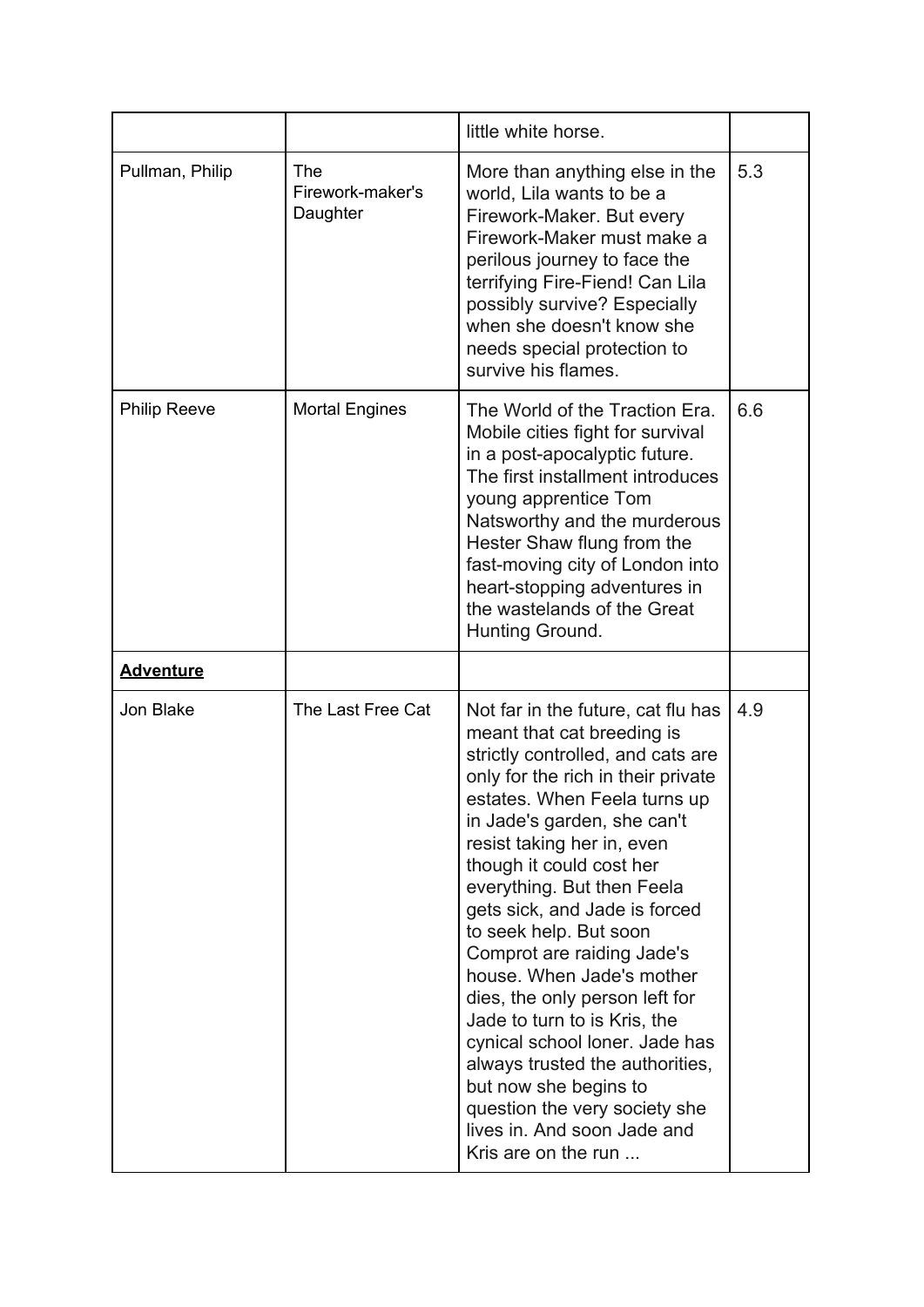|                     |                                            | little white horse.                                                                                                                                                                                                                                                                                                                                                                                                                                                                                                                                                                                                                                                             |     |
|---------------------|--------------------------------------------|---------------------------------------------------------------------------------------------------------------------------------------------------------------------------------------------------------------------------------------------------------------------------------------------------------------------------------------------------------------------------------------------------------------------------------------------------------------------------------------------------------------------------------------------------------------------------------------------------------------------------------------------------------------------------------|-----|
| Pullman, Philip     | <b>The</b><br>Firework-maker's<br>Daughter | More than anything else in the<br>world, Lila wants to be a<br>Firework-Maker. But every<br>Firework-Maker must make a<br>perilous journey to face the<br>terrifying Fire-Fiend! Can Lila<br>possibly survive? Especially<br>when she doesn't know she<br>needs special protection to<br>survive his flames.                                                                                                                                                                                                                                                                                                                                                                    | 5.3 |
| <b>Philip Reeve</b> | <b>Mortal Engines</b>                      | The World of the Traction Era.<br>Mobile cities fight for survival<br>in a post-apocalyptic future.<br>The first installment introduces<br>young apprentice Tom<br>Natsworthy and the murderous<br>Hester Shaw flung from the<br>fast-moving city of London into<br>heart-stopping adventures in<br>the wastelands of the Great<br>Hunting Ground.                                                                                                                                                                                                                                                                                                                              | 6.6 |
| <b>Adventure</b>    |                                            |                                                                                                                                                                                                                                                                                                                                                                                                                                                                                                                                                                                                                                                                                 |     |
| Jon Blake           | The Last Free Cat                          | Not far in the future, cat flu has<br>meant that cat breeding is<br>strictly controlled, and cats are<br>only for the rich in their private<br>estates. When Feela turns up<br>in Jade's garden, she can't<br>resist taking her in, even<br>though it could cost her<br>everything. But then Feela<br>gets sick, and Jade is forced<br>to seek help. But soon<br>Comprot are raiding Jade's<br>house. When Jade's mother<br>dies, the only person left for<br>Jade to turn to is Kris, the<br>cynical school loner. Jade has<br>always trusted the authorities,<br>but now she begins to<br>question the very society she<br>lives in. And soon Jade and<br>Kris are on the run | 4.9 |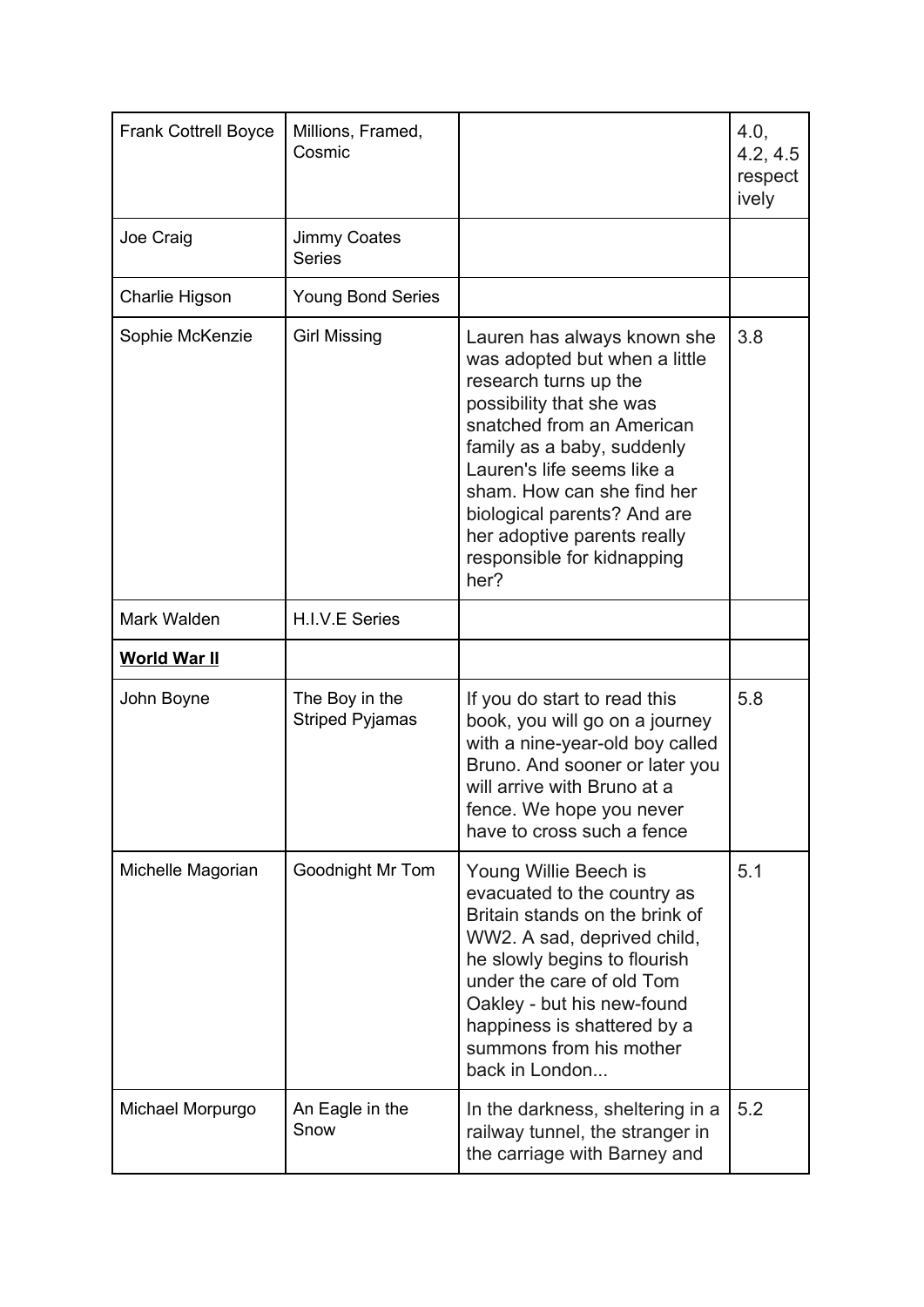| <b>Frank Cottrell Boyce</b> | Millions, Framed,<br>Cosmic              |                                                                                                                                                                                                                                                                                                                                              | 4.0,<br>4.2, 4.5<br>respect<br>ively |
|-----------------------------|------------------------------------------|----------------------------------------------------------------------------------------------------------------------------------------------------------------------------------------------------------------------------------------------------------------------------------------------------------------------------------------------|--------------------------------------|
| Joe Craig                   | Jimmy Coates<br><b>Series</b>            |                                                                                                                                                                                                                                                                                                                                              |                                      |
| Charlie Higson              | <b>Young Bond Series</b>                 |                                                                                                                                                                                                                                                                                                                                              |                                      |
| Sophie McKenzie             | <b>Girl Missing</b>                      | Lauren has always known she<br>was adopted but when a little<br>research turns up the<br>possibility that she was<br>snatched from an American<br>family as a baby, suddenly<br>Lauren's life seems like a<br>sham. How can she find her<br>biological parents? And are<br>her adoptive parents really<br>responsible for kidnapping<br>her? | 3.8                                  |
| Mark Walden                 | H.I.V.E Series                           |                                                                                                                                                                                                                                                                                                                                              |                                      |
| <b>World War II</b>         |                                          |                                                                                                                                                                                                                                                                                                                                              |                                      |
| John Boyne                  | The Boy in the<br><b>Striped Pyjamas</b> | If you do start to read this<br>book, you will go on a journey<br>with a nine-year-old boy called<br>Bruno. And sooner or later you<br>will arrive with Bruno at a<br>fence. We hope you never<br>have to cross such a fence                                                                                                                 | 5.8                                  |
| Michelle Magorian           | Goodnight Mr Tom                         | Young Willie Beech is<br>evacuated to the country as<br>Britain stands on the brink of<br>WW2. A sad, deprived child,<br>he slowly begins to flourish<br>under the care of old Tom<br>Oakley - but his new-found<br>happiness is shattered by a<br>summons from his mother<br>back in London                                                 | 5.1                                  |
| Michael Morpurgo            | An Eagle in the<br>Snow                  | In the darkness, sheltering in a<br>railway tunnel, the stranger in<br>the carriage with Barney and                                                                                                                                                                                                                                          | 5.2                                  |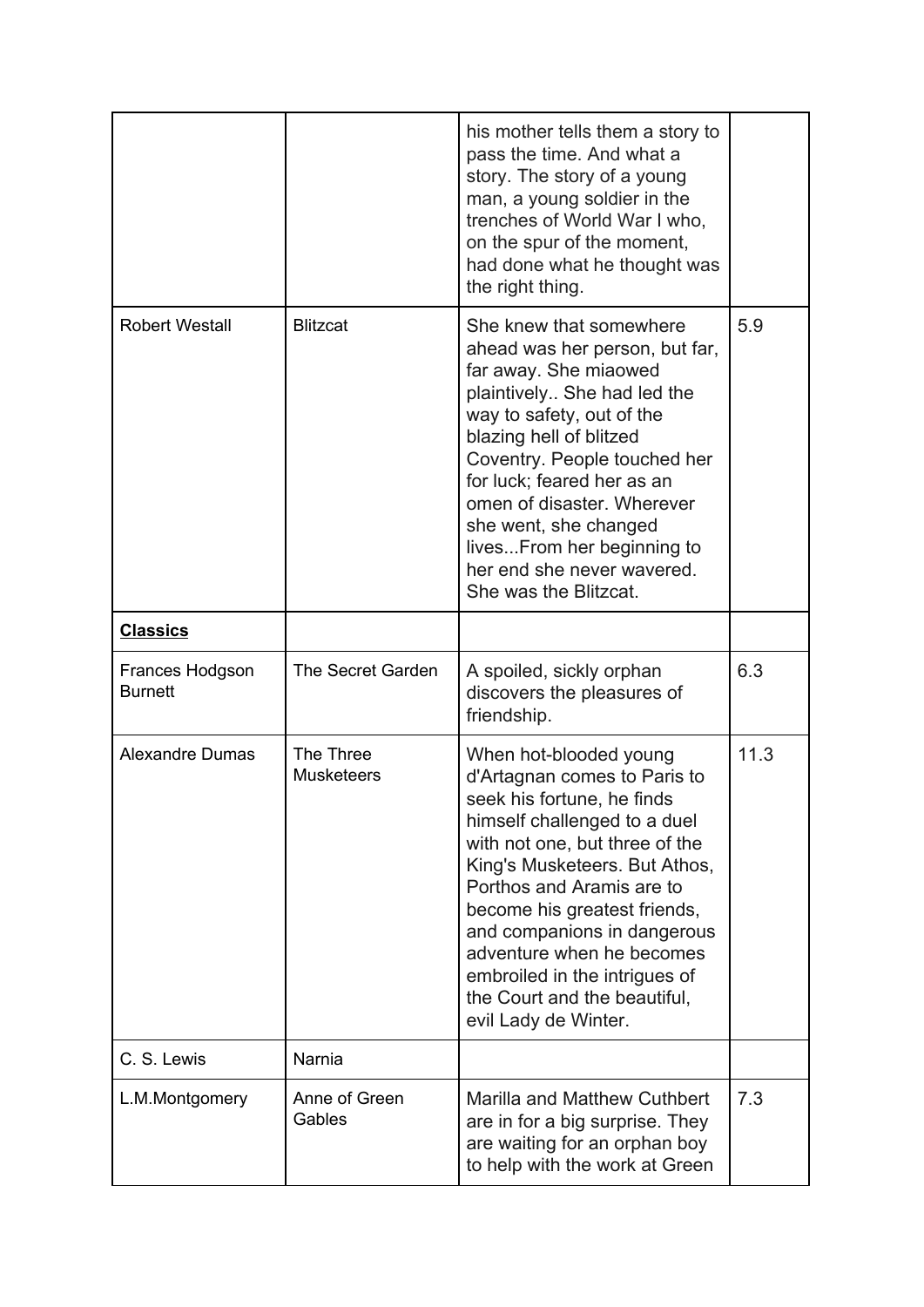|                                   |                                | his mother tells them a story to<br>pass the time. And what a<br>story. The story of a young<br>man, a young soldier in the<br>trenches of World War I who,<br>on the spur of the moment,<br>had done what he thought was<br>the right thing.                                                                                                                                                             |      |
|-----------------------------------|--------------------------------|-----------------------------------------------------------------------------------------------------------------------------------------------------------------------------------------------------------------------------------------------------------------------------------------------------------------------------------------------------------------------------------------------------------|------|
| <b>Robert Westall</b>             | <b>Blitzcat</b>                | She knew that somewhere<br>ahead was her person, but far,<br>far away. She miaowed<br>plaintively She had led the<br>way to safety, out of the<br>blazing hell of blitzed<br>Coventry. People touched her<br>for luck; feared her as an<br>omen of disaster. Wherever<br>she went, she changed<br>livesFrom her beginning to<br>her end she never wavered.<br>She was the Blitzcat.                       | 5.9  |
| <b>Classics</b>                   |                                |                                                                                                                                                                                                                                                                                                                                                                                                           |      |
| Frances Hodgson<br><b>Burnett</b> | <b>The Secret Garden</b>       | A spoiled, sickly orphan<br>discovers the pleasures of<br>friendship.                                                                                                                                                                                                                                                                                                                                     | 6.3  |
| <b>Alexandre Dumas</b>            | The Three<br><b>Musketeers</b> | When hot-blooded young<br>d'Artagnan comes to Paris to<br>seek his fortune, he finds<br>himself challenged to a duel<br>with not one, but three of the<br>King's Musketeers. But Athos,<br>Porthos and Aramis are to<br>become his greatest friends,<br>and companions in dangerous<br>adventure when he becomes<br>embroiled in the intrigues of<br>the Court and the beautiful,<br>evil Lady de Winter. | 11.3 |
| C. S. Lewis                       | Narnia                         |                                                                                                                                                                                                                                                                                                                                                                                                           |      |
| L.M.Montgomery                    | Anne of Green<br>Gables        | <b>Marilla and Matthew Cuthbert</b><br>are in for a big surprise. They<br>are waiting for an orphan boy<br>to help with the work at Green                                                                                                                                                                                                                                                                 | 7.3  |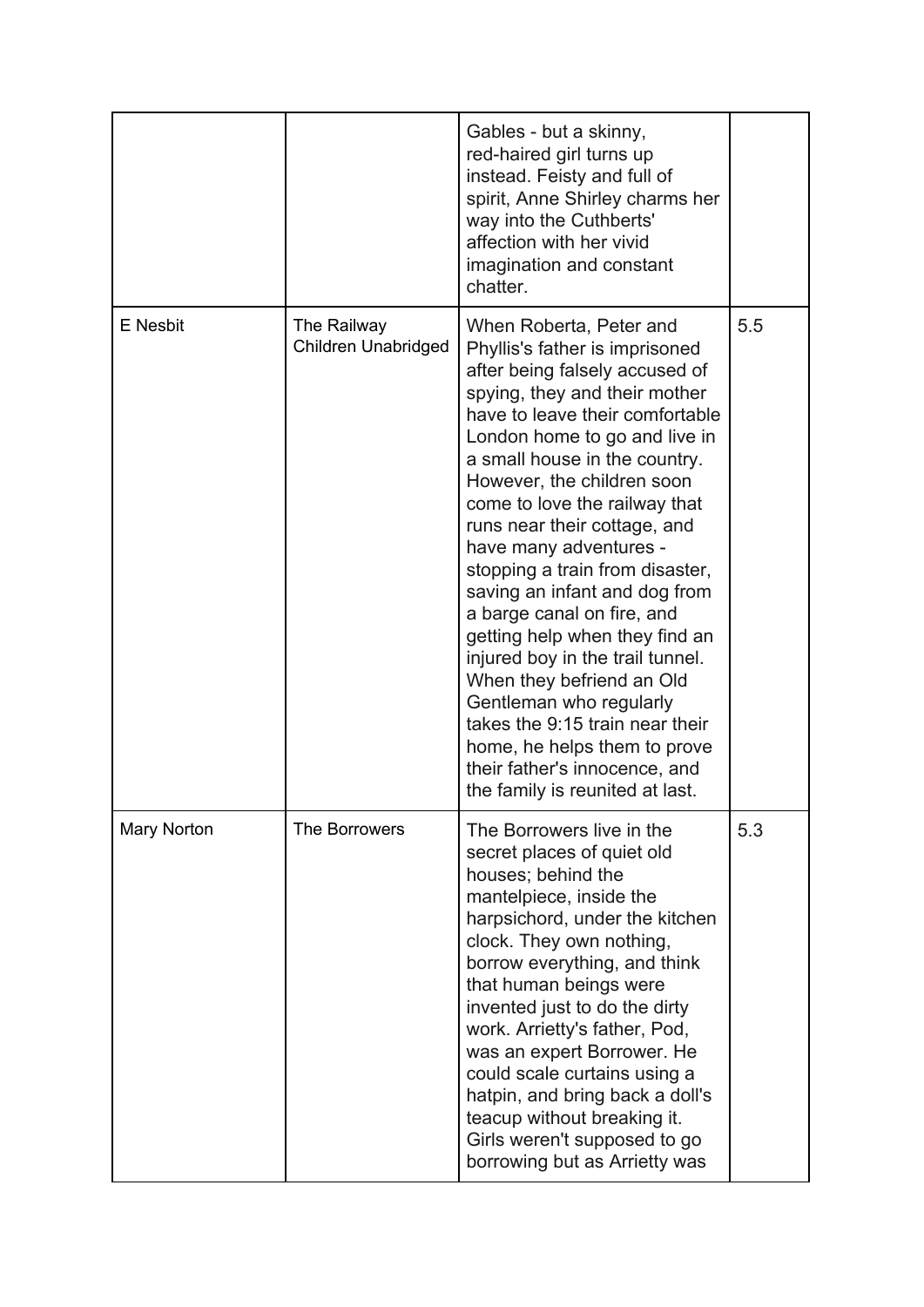|                 |                                    | Gables - but a skinny,<br>red-haired girl turns up<br>instead. Feisty and full of<br>spirit, Anne Shirley charms her<br>way into the Cuthberts'<br>affection with her vivid<br>imagination and constant<br>chatter.                                                                                                                                                                                                                                                                                                                                                                                                                                                                                                               |     |
|-----------------|------------------------------------|-----------------------------------------------------------------------------------------------------------------------------------------------------------------------------------------------------------------------------------------------------------------------------------------------------------------------------------------------------------------------------------------------------------------------------------------------------------------------------------------------------------------------------------------------------------------------------------------------------------------------------------------------------------------------------------------------------------------------------------|-----|
| <b>E</b> Nesbit | The Railway<br>Children Unabridged | When Roberta, Peter and<br>Phyllis's father is imprisoned<br>after being falsely accused of<br>spying, they and their mother<br>have to leave their comfortable<br>London home to go and live in<br>a small house in the country.<br>However, the children soon<br>come to love the railway that<br>runs near their cottage, and<br>have many adventures -<br>stopping a train from disaster,<br>saving an infant and dog from<br>a barge canal on fire, and<br>getting help when they find an<br>injured boy in the trail tunnel.<br>When they befriend an Old<br>Gentleman who regularly<br>takes the 9:15 train near their<br>home, he helps them to prove<br>their father's innocence, and<br>the family is reunited at last. | 5.5 |
| Mary Norton     | The Borrowers                      | The Borrowers live in the<br>secret places of quiet old<br>houses; behind the<br>mantelpiece, inside the<br>harpsichord, under the kitchen<br>clock. They own nothing,<br>borrow everything, and think<br>that human beings were<br>invented just to do the dirty<br>work. Arrietty's father, Pod,<br>was an expert Borrower. He<br>could scale curtains using a<br>hatpin, and bring back a doll's<br>teacup without breaking it.<br>Girls weren't supposed to go<br>borrowing but as Arrietty was                                                                                                                                                                                                                               | 5.3 |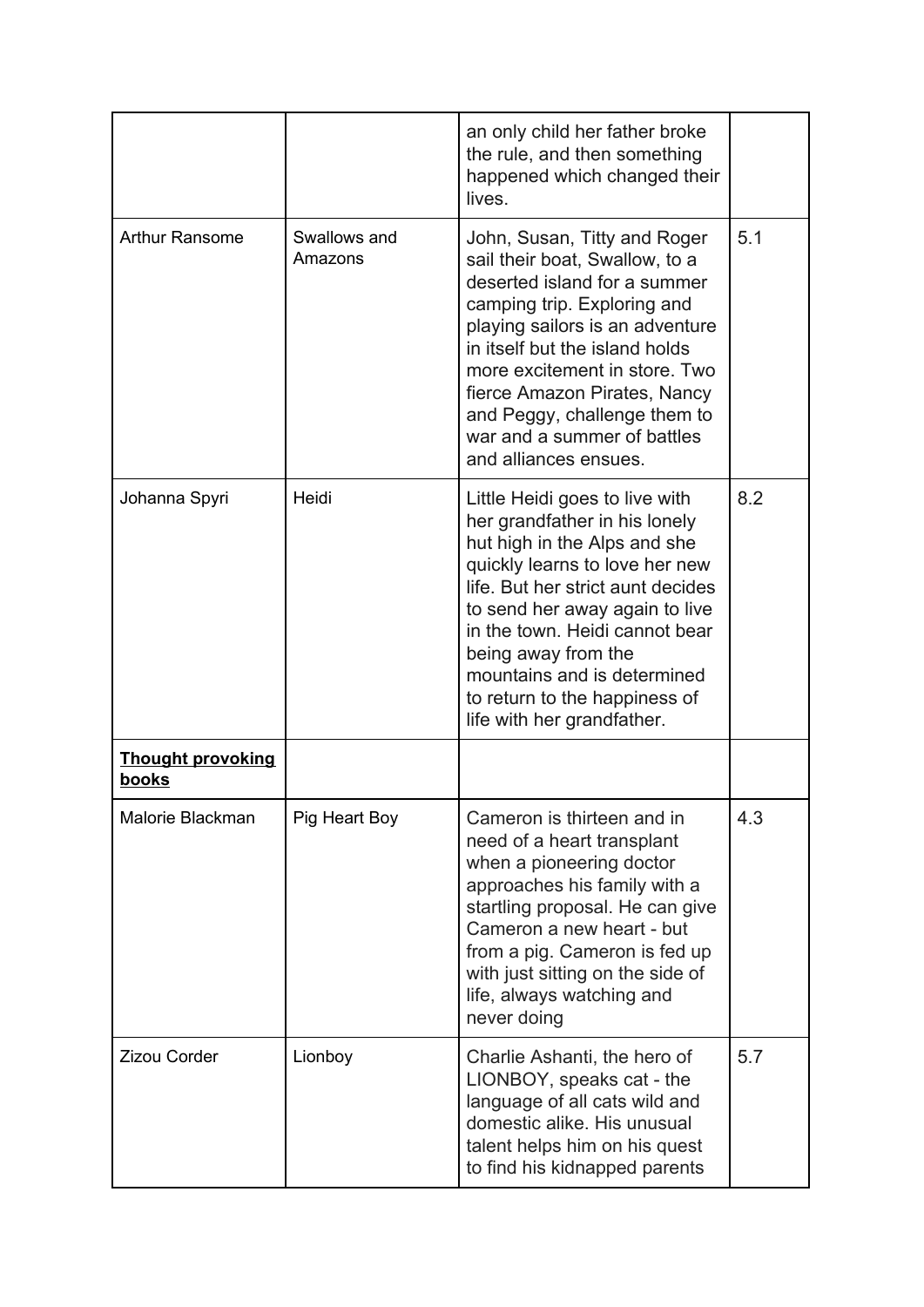|                                   |                         | an only child her father broke<br>the rule, and then something<br>happened which changed their<br>lives.                                                                                                                                                                                                                                                        |     |
|-----------------------------------|-------------------------|-----------------------------------------------------------------------------------------------------------------------------------------------------------------------------------------------------------------------------------------------------------------------------------------------------------------------------------------------------------------|-----|
| <b>Arthur Ransome</b>             | Swallows and<br>Amazons | John, Susan, Titty and Roger<br>sail their boat, Swallow, to a<br>deserted island for a summer<br>camping trip. Exploring and<br>playing sailors is an adventure<br>in itself but the island holds<br>more excitement in store. Two<br>fierce Amazon Pirates, Nancy<br>and Peggy, challenge them to<br>war and a summer of battles<br>and alliances ensues.     | 5.1 |
| Johanna Spyri                     | Heidi                   | Little Heidi goes to live with<br>her grandfather in his lonely<br>hut high in the Alps and she<br>quickly learns to love her new<br>life. But her strict aunt decides<br>to send her away again to live<br>in the town. Heidi cannot bear<br>being away from the<br>mountains and is determined<br>to return to the happiness of<br>life with her grandfather. | 8.2 |
| <b>Thought provoking</b><br>books |                         |                                                                                                                                                                                                                                                                                                                                                                 |     |
| Malorie Blackman                  | Pig Heart Boy           | Cameron is thirteen and in<br>need of a heart transplant<br>when a pioneering doctor<br>approaches his family with a<br>startling proposal. He can give<br>Cameron a new heart - but<br>from a pig. Cameron is fed up<br>with just sitting on the side of<br>life, always watching and<br>never doing                                                           | 4.3 |
| Zizou Corder                      | Lionboy                 | Charlie Ashanti, the hero of<br>LIONBOY, speaks cat - the<br>language of all cats wild and<br>domestic alike. His unusual<br>talent helps him on his quest<br>to find his kidnapped parents                                                                                                                                                                     | 5.7 |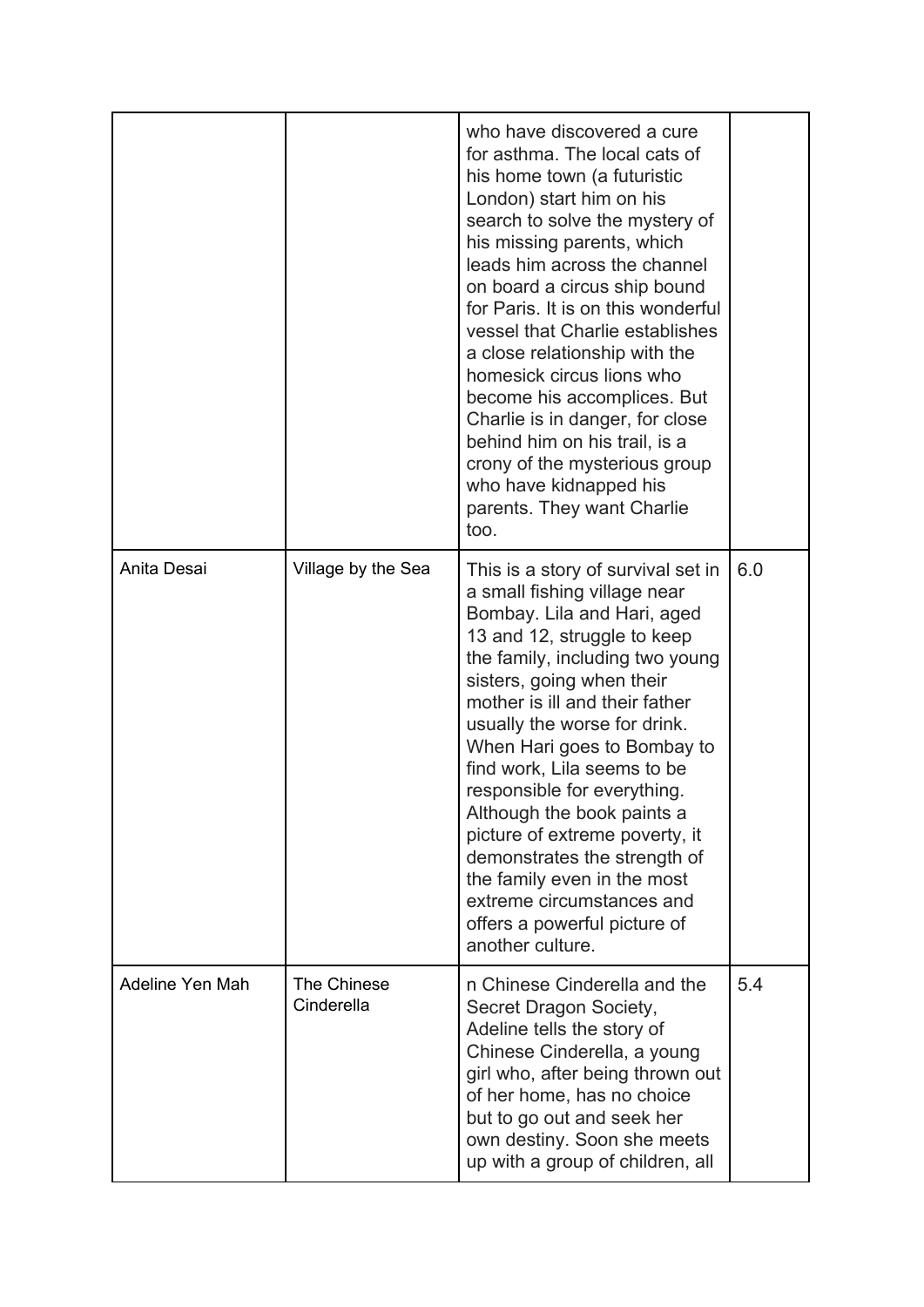|                 |                                  | who have discovered a cure<br>for asthma. The local cats of<br>his home town (a futuristic<br>London) start him on his<br>search to solve the mystery of<br>his missing parents, which<br>leads him across the channel<br>on board a circus ship bound<br>for Paris. It is on this wonderful<br>vessel that Charlie establishes<br>a close relationship with the<br>homesick circus lions who<br>become his accomplices. But<br>Charlie is in danger, for close<br>behind him on his trail, is a<br>crony of the mysterious group<br>who have kidnapped his<br>parents. They want Charlie<br>too. |     |
|-----------------|----------------------------------|---------------------------------------------------------------------------------------------------------------------------------------------------------------------------------------------------------------------------------------------------------------------------------------------------------------------------------------------------------------------------------------------------------------------------------------------------------------------------------------------------------------------------------------------------------------------------------------------------|-----|
| Anita Desai     | Village by the Sea               | This is a story of survival set in<br>a small fishing village near<br>Bombay. Lila and Hari, aged<br>13 and 12, struggle to keep<br>the family, including two young<br>sisters, going when their<br>mother is ill and their father<br>usually the worse for drink.<br>When Hari goes to Bombay to<br>find work, Lila seems to be<br>responsible for everything.<br>Although the book paints a<br>picture of extreme poverty, it<br>demonstrates the strength of<br>the family even in the most<br>extreme circumstances and<br>offers a powerful picture of<br>another culture.                   | 6.0 |
| Adeline Yen Mah | <b>The Chinese</b><br>Cinderella | n Chinese Cinderella and the<br>Secret Dragon Society,<br>Adeline tells the story of<br>Chinese Cinderella, a young<br>girl who, after being thrown out<br>of her home, has no choice<br>but to go out and seek her<br>own destiny. Soon she meets<br>up with a group of children, all                                                                                                                                                                                                                                                                                                            | 5.4 |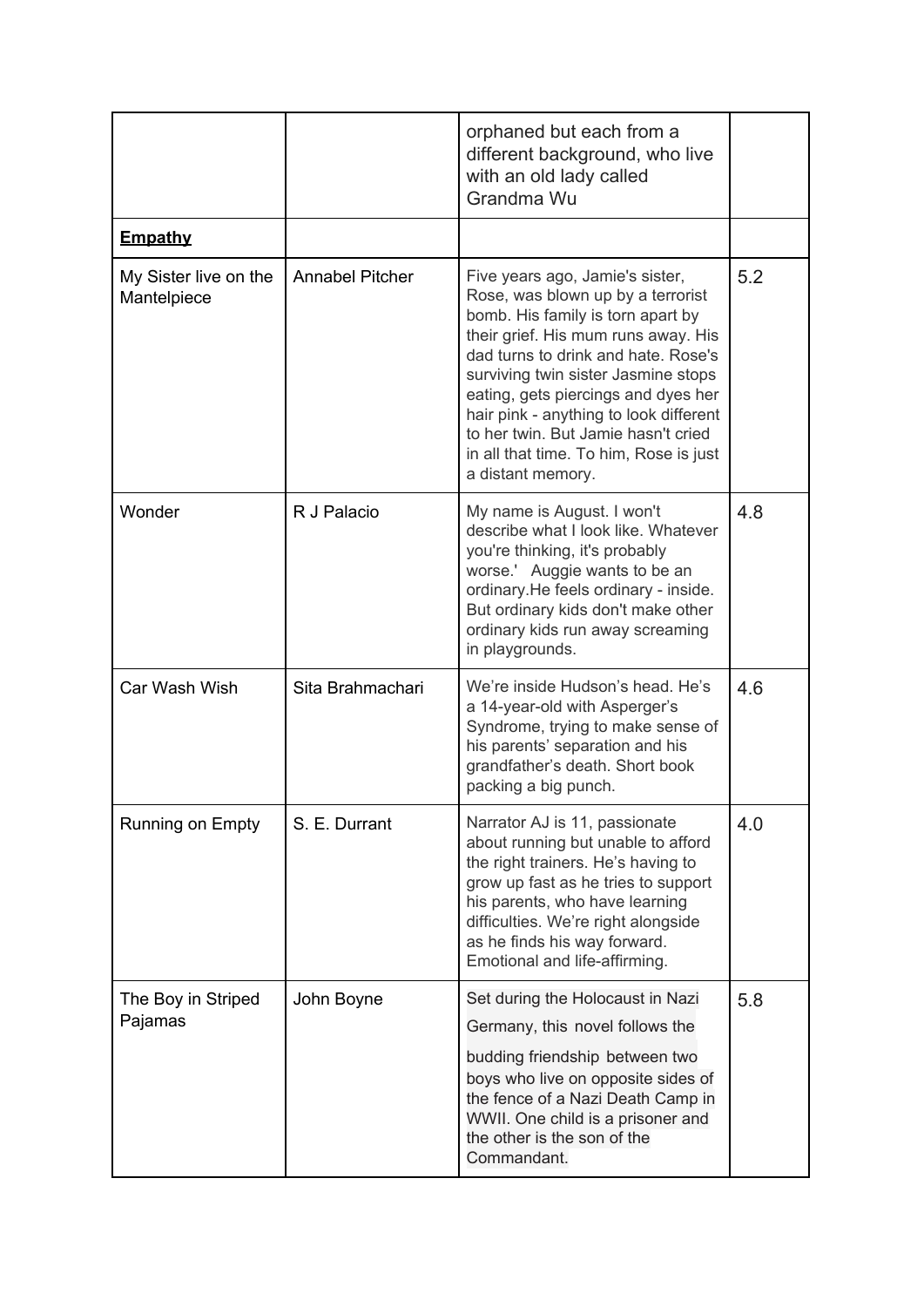|                                      |                        | orphaned but each from a<br>different background, who live<br>with an old lady called<br>Grandma Wu                                                                                                                                                                                                                                                                                                                   |     |
|--------------------------------------|------------------------|-----------------------------------------------------------------------------------------------------------------------------------------------------------------------------------------------------------------------------------------------------------------------------------------------------------------------------------------------------------------------------------------------------------------------|-----|
| <b>Empathy</b>                       |                        |                                                                                                                                                                                                                                                                                                                                                                                                                       |     |
| My Sister live on the<br>Mantelpiece | <b>Annabel Pitcher</b> | Five years ago, Jamie's sister,<br>Rose, was blown up by a terrorist<br>bomb. His family is torn apart by<br>their grief. His mum runs away. His<br>dad turns to drink and hate. Rose's<br>surviving twin sister Jasmine stops<br>eating, gets piercings and dyes her<br>hair pink - anything to look different<br>to her twin. But Jamie hasn't cried<br>in all that time. To him, Rose is just<br>a distant memory. | 5.2 |
| Wonder                               | R J Palacio            | My name is August. I won't<br>describe what I look like. Whatever<br>you're thinking, it's probably<br>worse.' Auggie wants to be an<br>ordinary. He feels ordinary - inside.<br>But ordinary kids don't make other<br>ordinary kids run away screaming<br>in playgrounds.                                                                                                                                            | 4.8 |
| Car Wash Wish                        | Sita Brahmachari       | We're inside Hudson's head. He's<br>a 14-year-old with Asperger's<br>Syndrome, trying to make sense of<br>his parents' separation and his<br>grandfather's death. Short book<br>packing a big punch.                                                                                                                                                                                                                  | 4.6 |
| Running on Empty                     | S. E. Durrant          | Narrator AJ is 11, passionate<br>about running but unable to afford<br>the right trainers. He's having to<br>grow up fast as he tries to support<br>his parents, who have learning<br>difficulties. We're right alongside<br>as he finds his way forward.<br>Emotional and life-affirming.                                                                                                                            | 4.0 |
| The Boy in Striped<br>Pajamas        | John Boyne             | Set during the Holocaust in Nazi<br>Germany, this novel follows the<br>budding friendship between two<br>boys who live on opposite sides of<br>the fence of a Nazi Death Camp in<br>WWII. One child is a prisoner and<br>the other is the son of the<br>Commandant.                                                                                                                                                   | 5.8 |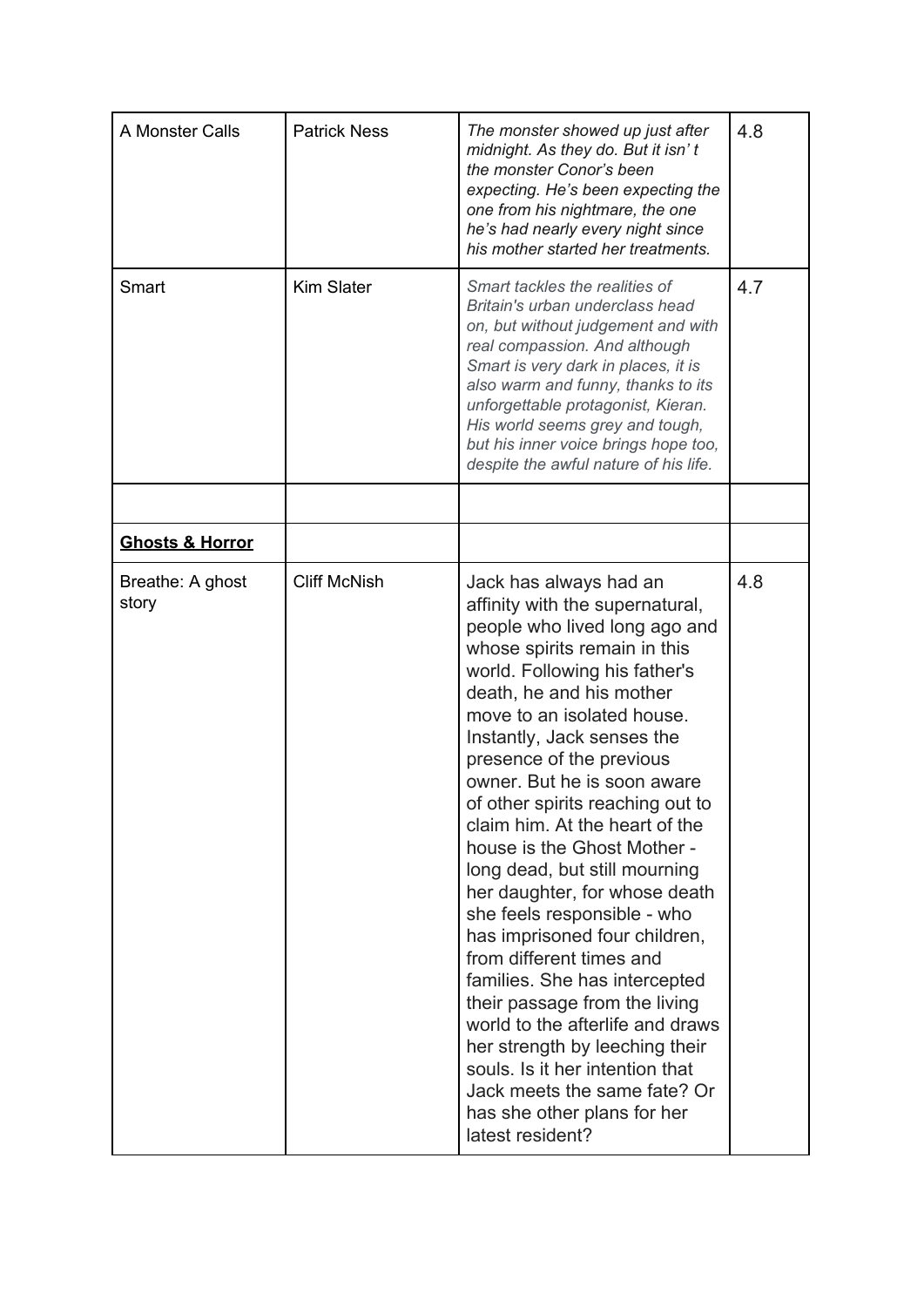| A Monster Calls            | <b>Patrick Ness</b> | The monster showed up just after<br>midnight. As they do. But it isn't<br>the monster Conor's been<br>expecting. He's been expecting the<br>one from his nightmare, the one<br>he's had nearly every night since<br>his mother started her treatments.                                                                                                                                                                                                                                                                                                                                                                                                                                                                                                                                                                                          | 4.8 |
|----------------------------|---------------------|-------------------------------------------------------------------------------------------------------------------------------------------------------------------------------------------------------------------------------------------------------------------------------------------------------------------------------------------------------------------------------------------------------------------------------------------------------------------------------------------------------------------------------------------------------------------------------------------------------------------------------------------------------------------------------------------------------------------------------------------------------------------------------------------------------------------------------------------------|-----|
| Smart                      | Kim Slater          | Smart tackles the realities of<br>Britain's urban underclass head<br>on, but without judgement and with<br>real compassion. And although<br>Smart is very dark in places, it is<br>also warm and funny, thanks to its<br>unforgettable protagonist, Kieran.<br>His world seems grey and tough,<br>but his inner voice brings hope too,<br>despite the awful nature of his life.                                                                                                                                                                                                                                                                                                                                                                                                                                                                 | 4.7 |
| <b>Ghosts &amp; Horror</b> |                     |                                                                                                                                                                                                                                                                                                                                                                                                                                                                                                                                                                                                                                                                                                                                                                                                                                                 |     |
| Breathe: A ghost<br>story  | <b>Cliff McNish</b> | Jack has always had an<br>affinity with the supernatural,<br>people who lived long ago and<br>whose spirits remain in this<br>world. Following his father's<br>death, he and his mother<br>move to an isolated house.<br>Instantly, Jack senses the<br>presence of the previous<br>owner. But he is soon aware<br>of other spirits reaching out to<br>claim him. At the heart of the<br>house is the Ghost Mother -<br>long dead, but still mourning<br>her daughter, for whose death<br>she feels responsible - who<br>has imprisoned four children,<br>from different times and<br>families. She has intercepted<br>their passage from the living<br>world to the afterlife and draws<br>her strength by leeching their<br>souls. Is it her intention that<br>Jack meets the same fate? Or<br>has she other plans for her<br>latest resident? | 4.8 |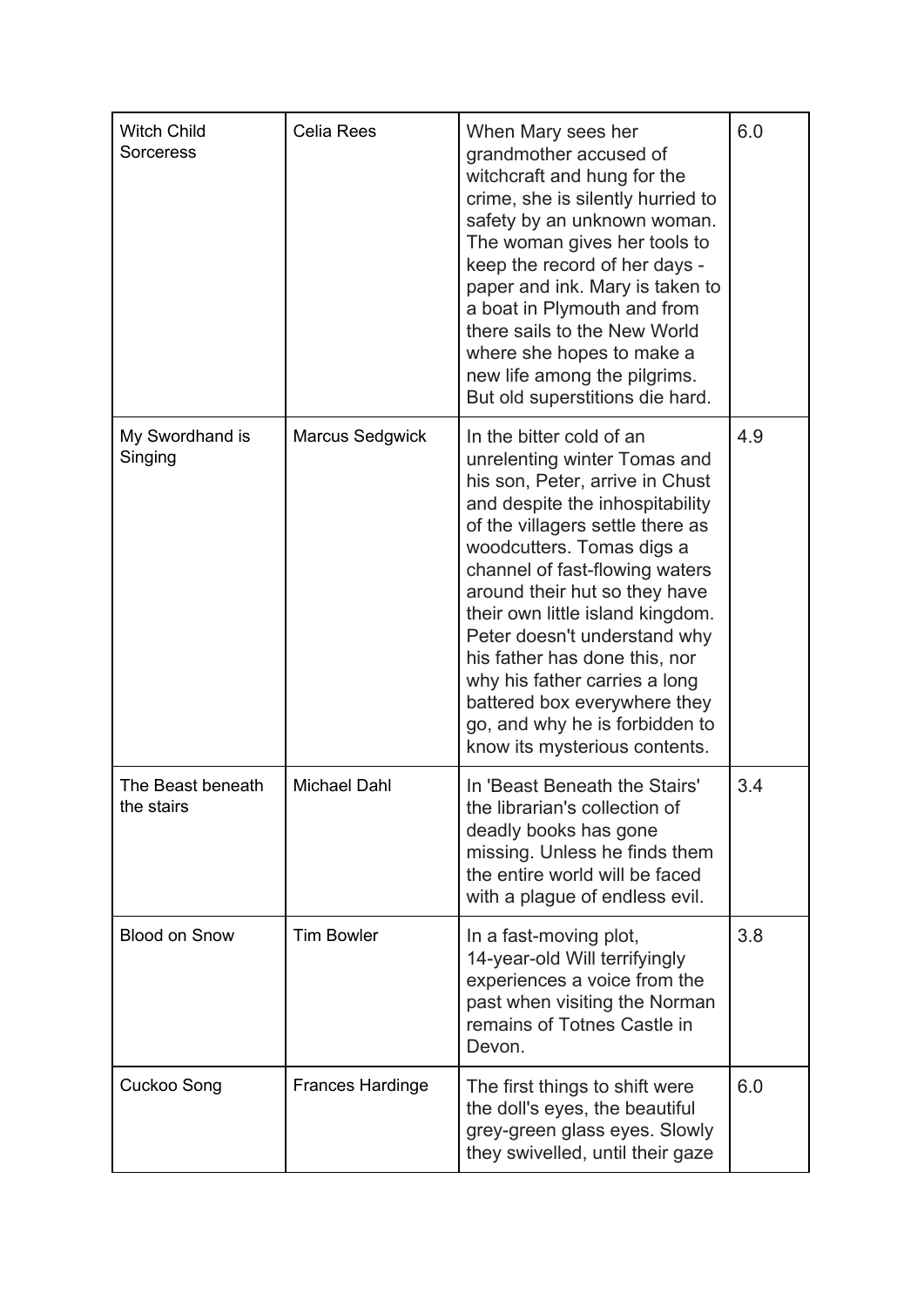| <b>Witch Child</b><br><b>Sorceress</b> | Celia Rees              | When Mary sees her<br>grandmother accused of<br>witchcraft and hung for the<br>crime, she is silently hurried to<br>safety by an unknown woman.<br>The woman gives her tools to<br>keep the record of her days -<br>paper and ink. Mary is taken to<br>a boat in Plymouth and from<br>there sails to the New World<br>where she hopes to make a<br>new life among the pilgrims.<br>But old superstitions die hard.                                                                                          | 6.0 |
|----------------------------------------|-------------------------|-------------------------------------------------------------------------------------------------------------------------------------------------------------------------------------------------------------------------------------------------------------------------------------------------------------------------------------------------------------------------------------------------------------------------------------------------------------------------------------------------------------|-----|
| My Swordhand is<br>Singing             | Marcus Sedgwick         | In the bitter cold of an<br>unrelenting winter Tomas and<br>his son, Peter, arrive in Chust<br>and despite the inhospitability<br>of the villagers settle there as<br>woodcutters. Tomas digs a<br>channel of fast-flowing waters<br>around their hut so they have<br>their own little island kingdom.<br>Peter doesn't understand why<br>his father has done this, nor<br>why his father carries a long<br>battered box everywhere they<br>go, and why he is forbidden to<br>know its mysterious contents. | 4.9 |
| The Beast beneath<br>the stairs        | <b>Michael Dahl</b>     | In 'Beast Beneath the Stairs'<br>the librarian's collection of<br>deadly books has gone<br>missing. Unless he finds them<br>the entire world will be faced<br>with a plague of endless evil.                                                                                                                                                                                                                                                                                                                | 3.4 |
| <b>Blood on Snow</b>                   | <b>Tim Bowler</b>       | In a fast-moving plot,<br>14-year-old Will terrifyingly<br>experiences a voice from the<br>past when visiting the Norman<br>remains of Totnes Castle in<br>Devon.                                                                                                                                                                                                                                                                                                                                           | 3.8 |
| Cuckoo Song                            | <b>Frances Hardinge</b> | The first things to shift were<br>the doll's eyes, the beautiful<br>grey-green glass eyes. Slowly<br>they swivelled, until their gaze                                                                                                                                                                                                                                                                                                                                                                       | 6.0 |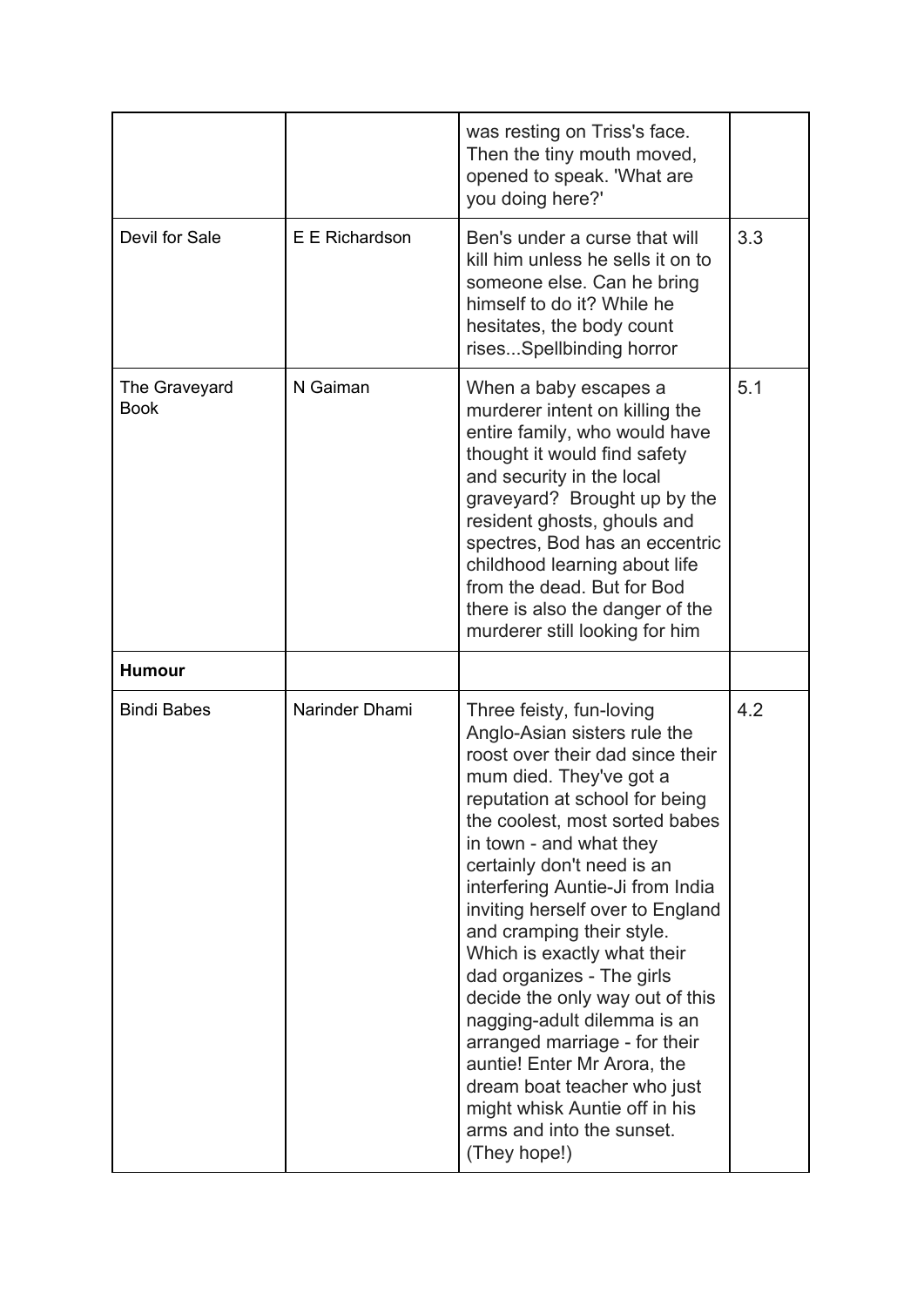|                              |                | was resting on Triss's face.<br>Then the tiny mouth moved,<br>opened to speak. 'What are<br>you doing here?'                                                                                                                                                                                                                                                                                                                                                                                                                                                                                                                                                         |     |
|------------------------------|----------------|----------------------------------------------------------------------------------------------------------------------------------------------------------------------------------------------------------------------------------------------------------------------------------------------------------------------------------------------------------------------------------------------------------------------------------------------------------------------------------------------------------------------------------------------------------------------------------------------------------------------------------------------------------------------|-----|
| Devil for Sale               | E E Richardson | Ben's under a curse that will<br>kill him unless he sells it on to<br>someone else. Can he bring<br>himself to do it? While he<br>hesitates, the body count<br>risesSpellbinding horror                                                                                                                                                                                                                                                                                                                                                                                                                                                                              | 3.3 |
| The Graveyard<br><b>Book</b> | N Gaiman       | When a baby escapes a<br>murderer intent on killing the<br>entire family, who would have<br>thought it would find safety<br>and security in the local<br>graveyard? Brought up by the<br>resident ghosts, ghouls and<br>spectres, Bod has an eccentric<br>childhood learning about life<br>from the dead. But for Bod<br>there is also the danger of the<br>murderer still looking for him                                                                                                                                                                                                                                                                           | 5.1 |
| <b>Humour</b>                |                |                                                                                                                                                                                                                                                                                                                                                                                                                                                                                                                                                                                                                                                                      |     |
| <b>Bindi Babes</b>           | Narinder Dhami | Three feisty, fun-loving<br>Anglo-Asian sisters rule the<br>roost over their dad since their<br>mum died. They've got a<br>reputation at school for being<br>the coolest, most sorted babes<br>in town - and what they<br>certainly don't need is an<br>interfering Auntie-Ji from India<br>inviting herself over to England<br>and cramping their style.<br>Which is exactly what their<br>dad organizes - The girls<br>decide the only way out of this<br>nagging-adult dilemma is an<br>arranged marriage - for their<br>auntie! Enter Mr Arora, the<br>dream boat teacher who just<br>might whisk Auntie off in his<br>arms and into the sunset.<br>(They hope!) | 4.2 |